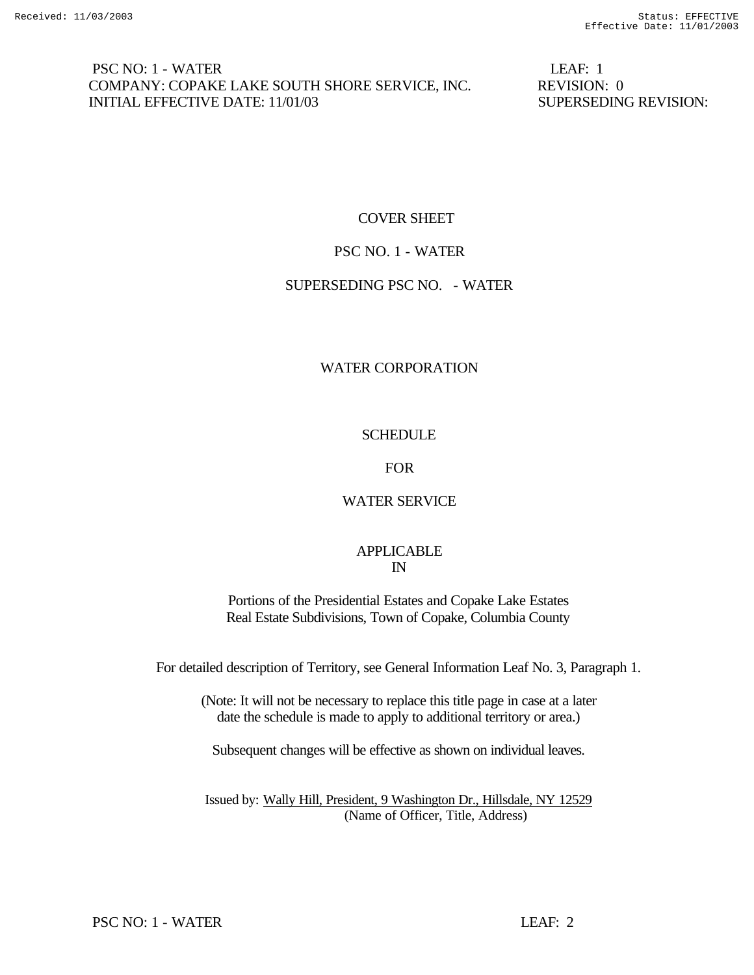## PSC NO: 1 - WATER LEAF: 1 COMPANY: COPAKE LAKE SOUTH SHORE SERVICE, INC. REVISION: 0 INITIAL EFFECTIVE DATE: 11/01/03 SUPERSEDING REVISION:

## COVER SHEET

## PSC NO. 1 - WATER

## SUPERSEDING PSC NO. - WATER

## WATER CORPORATION

## **SCHEDULE**

## FOR

## WATER SERVICE

## APPLICABLE IN

Portions of the Presidential Estates and Copake Lake Estates Real Estate Subdivisions, Town of Copake, Columbia County

For detailed description of Territory, see General Information Leaf No. 3, Paragraph 1.

(Note: It will not be necessary to replace this title page in case at a later date the schedule is made to apply to additional territory or area.)

Subsequent changes will be effective as shown on individual leaves.

Issued by: Wally Hill, President, 9 Washington Dr., Hillsdale, NY 12529 (Name of Officer, Title, Address)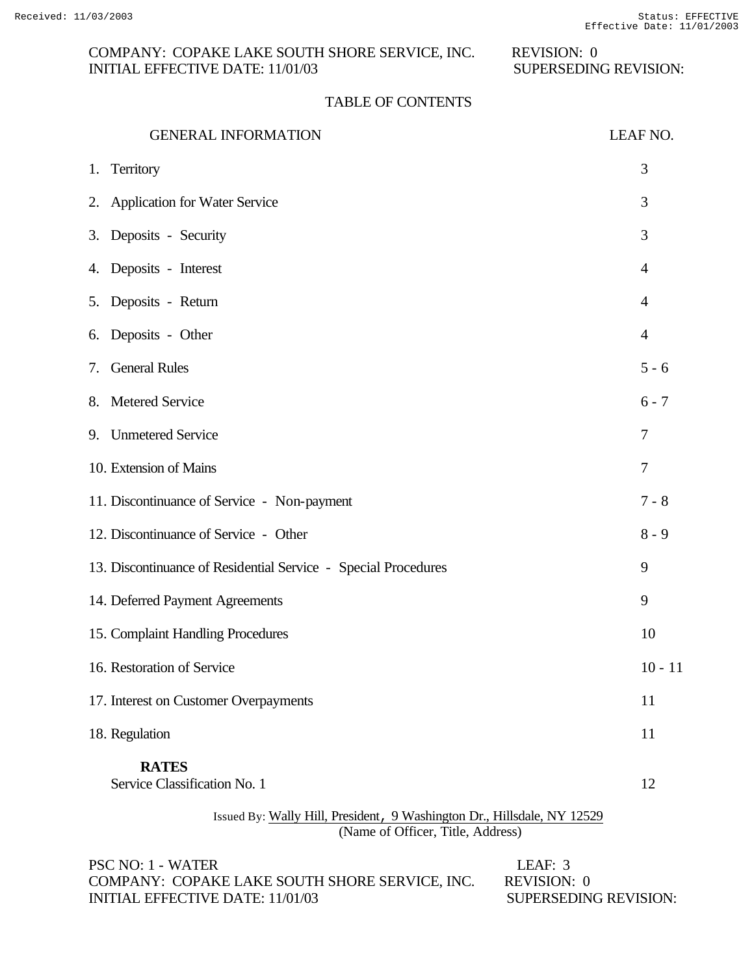# COMPANY: COPAKE LAKE SOUTH SHORE SERVICE, INC. REVISION: 0<br>INITIAL EFFECTIVE DATE: 11/01/03 SUPERSEDING REVISION: INITIAL EFFECTIVE DATE:  $11/01/03$

## TABLE OF CONTENTS

| <b>GENERAL INFORMATION</b>                                                                                   | LEAF NO.       |
|--------------------------------------------------------------------------------------------------------------|----------------|
| 1. Territory                                                                                                 | 3              |
| 2. Application for Water Service                                                                             | 3              |
| 3. Deposits - Security                                                                                       | 3              |
| 4. Deposits - Interest                                                                                       | $\overline{4}$ |
| 5. Deposits - Return                                                                                         | $\overline{4}$ |
| 6. Deposits - Other                                                                                          | $\overline{4}$ |
| <b>General Rules</b><br>7.                                                                                   | $5 - 6$        |
| 8. Metered Service                                                                                           | $6 - 7$        |
| 9. Unmetered Service                                                                                         | 7              |
| 10. Extension of Mains                                                                                       | 7              |
| 11. Discontinuance of Service - Non-payment                                                                  | $7 - 8$        |
| 12. Discontinuance of Service - Other                                                                        | $8 - 9$        |
| 13. Discontinuance of Residential Service - Special Procedures                                               | 9              |
| 14. Deferred Payment Agreements                                                                              | 9              |
| 15. Complaint Handling Procedures                                                                            | 10             |
| 16. Restoration of Service                                                                                   | $10 - 11$      |
| 17. Interest on Customer Overpayments                                                                        | 11             |
| 18. Regulation                                                                                               | 11             |
| <b>RATES</b><br>Service Classification No. 1                                                                 | 12             |
| Issued By: Wally Hill, President, 9 Washington Dr., Hillsdale, NY 12529<br>(Name of Officer, Title, Address) |                |

| PSC NO: 1 - WATER                              | LEAF: 3               |
|------------------------------------------------|-----------------------|
| COMPANY: COPAKE LAKE SOUTH SHORE SERVICE, INC. | REVISION: 0           |
| INITIAL EFFECTIVE DATE: 11/01/03               | SUPERSEDING REVISION: |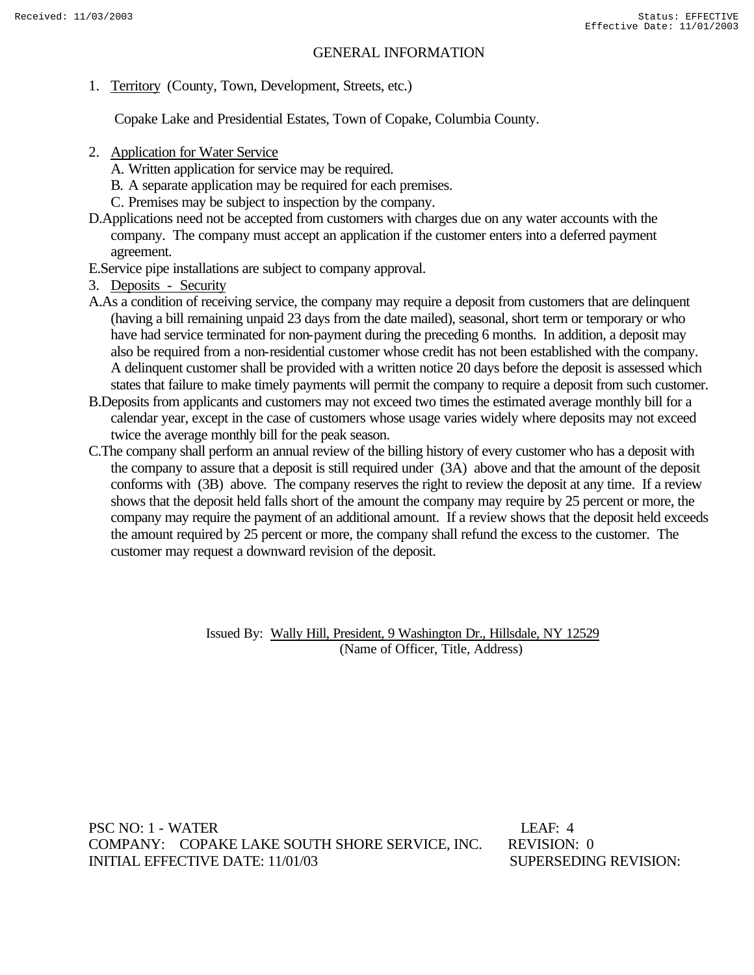### GENERAL INFORMATION

1. Territory (County, Town, Development, Streets, etc.)

Copake Lake and Presidential Estates, Town of Copake, Columbia County.

- 2. Application for Water Service
	- A. Written application for service may be required.
	- B. A separate application may be required for each premises.
	- C. Premises may be subject to inspection by the company.
- D.Applications need not be accepted from customers with charges due on any water accounts with the company. The company must accept an application if the customer enters into a deferred payment agreement.
- E.Service pipe installations are subject to company approval.
- 3. Deposits Security
- A.As a condition of receiving service, the company may require a deposit from customers that are delinquent (having a bill remaining unpaid 23 days from the date mailed), seasonal, short term or temporary or who have had service terminated for non-payment during the preceding 6 months. In addition, a deposit may also be required from a non-residential customer whose credit has not been established with the company. A delinquent customer shall be provided with a written notice 20 days before the deposit is assessed which states that failure to make timely payments will permit the company to require a deposit from such customer.
- B.Deposits from applicants and customers may not exceed two times the estimated average monthly bill for a calendar year, except in the case of customers whose usage varies widely where deposits may not exceed twice the average monthly bill for the peak season.
- C.The company shall perform an annual review of the billing history of every customer who has a deposit with the company to assure that a deposit is still required under (3A) above and that the amount of the deposit conforms with (3B) above. The company reserves the right to review the deposit at any time. If a review shows that the deposit held falls short of the amount the company may require by 25 percent or more, the company may require the payment of an additional amount. If a review shows that the deposit held exceeds the amount required by 25 percent or more, the company shall refund the excess to the customer. The customer may request a downward revision of the deposit.

 Issued By: Wally Hill, President, 9 Washington Dr., Hillsdale, NY 12529 (Name of Officer, Title, Address)

PSC NO: 1 - WATER LEAF: 4 COMPANY: COPAKE LAKE SOUTH SHORE SERVICE, INC. REVISION: 0 INITIAL EFFECTIVE DATE: 11/01/03 SUPERSEDING REVISION: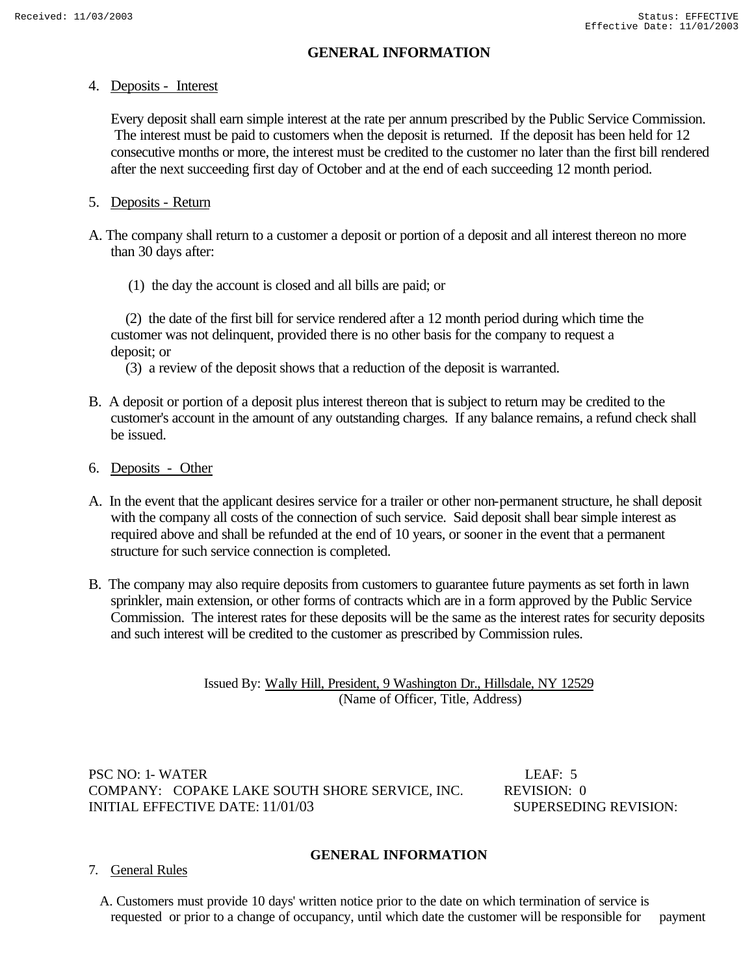## **GENERAL INFORMATION**

### 4. Deposits - Interest

 Every deposit shall earn simple interest at the rate per annum prescribed by the Public Service Commission. The interest must be paid to customers when the deposit is returned. If the deposit has been held for 12 consecutive months or more, the interest must be credited to the customer no later than the first bill rendered after the next succeeding first day of October and at the end of each succeeding 12 month period.

## 5. Deposits - Return

- A. The company shall return to a customer a deposit or portion of a deposit and all interest thereon no more than 30 days after:
	- (1) the day the account is closed and all bills are paid; or

 (2) the date of the first bill for service rendered after a 12 month period during which time the customer was not delinquent, provided there is no other basis for the company to request a deposit; or

(3) a review of the deposit shows that a reduction of the deposit is warranted.

- B. A deposit or portion of a deposit plus interest thereon that is subject to return may be credited to the customer's account in the amount of any outstanding charges. If any balance remains, a refund check shall be issued.
- 6. Deposits Other
- A. In the event that the applicant desires service for a trailer or other non-permanent structure, he shall deposit with the company all costs of the connection of such service. Said deposit shall bear simple interest as required above and shall be refunded at the end of 10 years, or sooner in the event that a permanent structure for such service connection is completed.
- B. The company may also require deposits from customers to guarantee future payments as set forth in lawn sprinkler, main extension, or other forms of contracts which are in a form approved by the Public Service Commission. The interest rates for these deposits will be the same as the interest rates for security deposits and such interest will be credited to the customer as prescribed by Commission rules.

Issued By: Wally Hill, President, 9 Washington Dr., Hillsdale, NY 12529 (Name of Officer, Title, Address)

PSC NO: 1- WATER LEAF: 5 COMPANY: COPAKE LAKE SOUTH SHORE SERVICE, INC. REVISION: 0 INITIAL EFFECTIVE DATE: 11/01/03 SUPERSEDING REVISION:

### **GENERAL INFORMATION**

- 7. General Rules
	- A. Customers must provide 10 days' written notice prior to the date on which termination of service is requested or prior to a change of occupancy, until which date the customer will be responsible for payment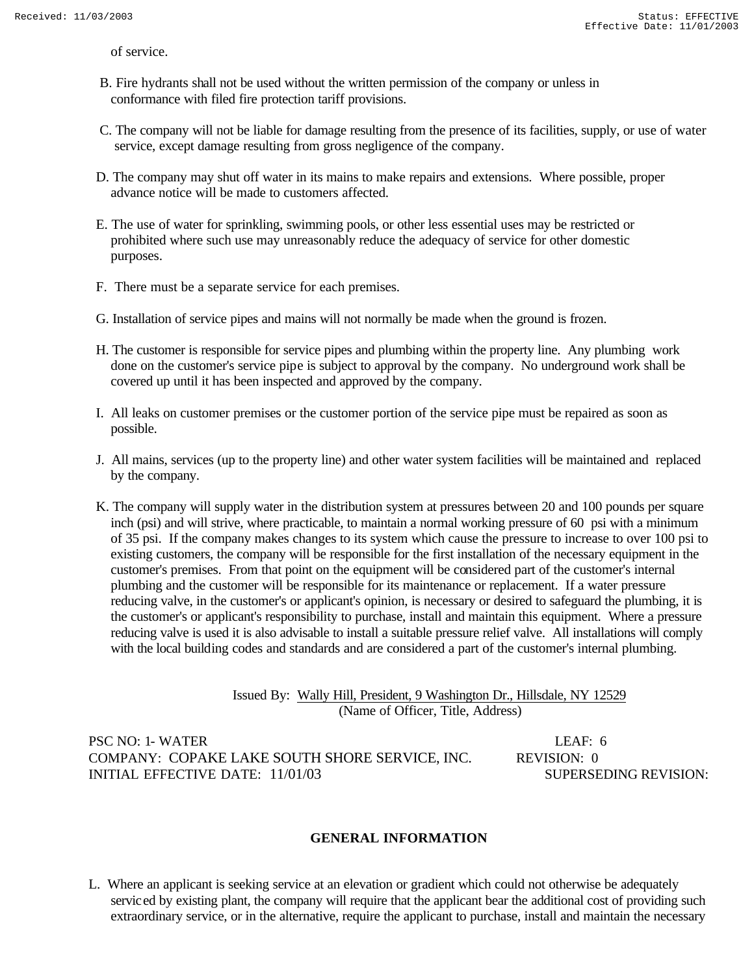of service.

- B. Fire hydrants shall not be used without the written permission of the company or unless in conformance with filed fire protection tariff provisions.
- C. The company will not be liable for damage resulting from the presence of its facilities, supply, or use of water service, except damage resulting from gross negligence of the company.
- D. The company may shut off water in its mains to make repairs and extensions. Where possible, proper advance notice will be made to customers affected.
- E. The use of water for sprinkling, swimming pools, or other less essential uses may be restricted or prohibited where such use may unreasonably reduce the adequacy of service for other domestic purposes.
- F. There must be a separate service for each premises.
- G. Installation of service pipes and mains will not normally be made when the ground is frozen.
- H. The customer is responsible for service pipes and plumbing within the property line. Any plumbing work done on the customer's service pipe is subject to approval by the company. No underground work shall be covered up until it has been inspected and approved by the company.
- I. All leaks on customer premises or the customer portion of the service pipe must be repaired as soon as possible.
- J. All mains, services (up to the property line) and other water system facilities will be maintained and replaced by the company.
- K. The company will supply water in the distribution system at pressures between 20 and 100 pounds per square inch (psi) and will strive, where practicable, to maintain a normal working pressure of 60 psi with a minimum of 35 psi. If the company makes changes to its system which cause the pressure to increase to over 100 psi to existing customers, the company will be responsible for the first installation of the necessary equipment in the customer's premises. From that point on the equipment will be considered part of the customer's internal plumbing and the customer will be responsible for its maintenance or replacement. If a water pressure reducing valve, in the customer's or applicant's opinion, is necessary or desired to safeguard the plumbing, it is the customer's or applicant's responsibility to purchase, install and maintain this equipment. Where a pressure reducing valve is used it is also advisable to install a suitable pressure relief valve. All installations will comply with the local building codes and standards and are considered a part of the customer's internal plumbing.

Issued By: Wally Hill, President, 9 Washington Dr., Hillsdale, NY 12529 (Name of Officer, Title, Address)

PSC NO: 1- WATER LEAF: 6 COMPANY: COPAKE LAKE SOUTH SHORE SERVICE, INC. REVISION: 0 INITIAL EFFECTIVE DATE: 11/01/03 SUPERSEDING REVISION:

### **GENERAL INFORMATION**

L. Where an applicant is seeking service at an elevation or gradient which could not otherwise be adequately serviced by existing plant, the company will require that the applicant bear the additional cost of providing such extraordinary service, or in the alternative, require the applicant to purchase, install and maintain the necessary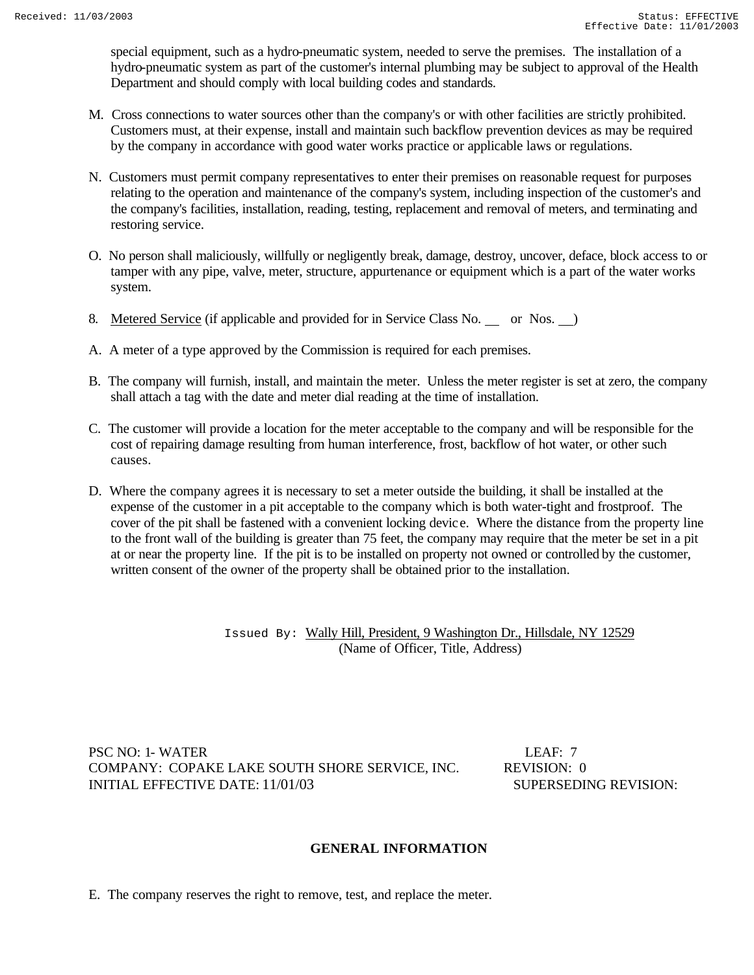special equipment, such as a hydro-pneumatic system, needed to serve the premises. The installation of a hydro-pneumatic system as part of the customer's internal plumbing may be subject to approval of the Health Department and should comply with local building codes and standards.

- M. Cross connections to water sources other than the company's or with other facilities are strictly prohibited. Customers must, at their expense, install and maintain such backflow prevention devices as may be required by the company in accordance with good water works practice or applicable laws or regulations.
- N. Customers must permit company representatives to enter their premises on reasonable request for purposes relating to the operation and maintenance of the company's system, including inspection of the customer's and the company's facilities, installation, reading, testing, replacement and removal of meters, and terminating and restoring service.
- O. No person shall maliciously, willfully or negligently break, damage, destroy, uncover, deface, block access to or tamper with any pipe, valve, meter, structure, appurtenance or equipment which is a part of the water works system.
- 8. Metered Service (if applicable and provided for in Service Class No. or Nos. )
- A. A meter of a type approved by the Commission is required for each premises.
- B. The company will furnish, install, and maintain the meter. Unless the meter register is set at zero, the company shall attach a tag with the date and meter dial reading at the time of installation.
- C. The customer will provide a location for the meter acceptable to the company and will be responsible for the cost of repairing damage resulting from human interference, frost, backflow of hot water, or other such causes.
- D. Where the company agrees it is necessary to set a meter outside the building, it shall be installed at the expense of the customer in a pit acceptable to the company which is both water-tight and frostproof. The cover of the pit shall be fastened with a convenient locking devic e. Where the distance from the property line to the front wall of the building is greater than 75 feet, the company may require that the meter be set in a pit at or near the property line. If the pit is to be installed on property not owned or controlled by the customer, written consent of the owner of the property shall be obtained prior to the installation.

Issued By: Wally Hill, President, 9 Washington Dr., Hillsdale, NY 12529 (Name of Officer, Title, Address)

PSC NO: 1- WATER LEAF: 7 COMPANY:COPAKE LAKE SOUTH SHORE SERVICE, INC. REVISION: 0 INITIAL EFFECTIVE DATE: 11/01/03 SUPERSEDING REVISION:

### **GENERAL INFORMATION**

E. The company reserves the right to remove, test, and replace the meter.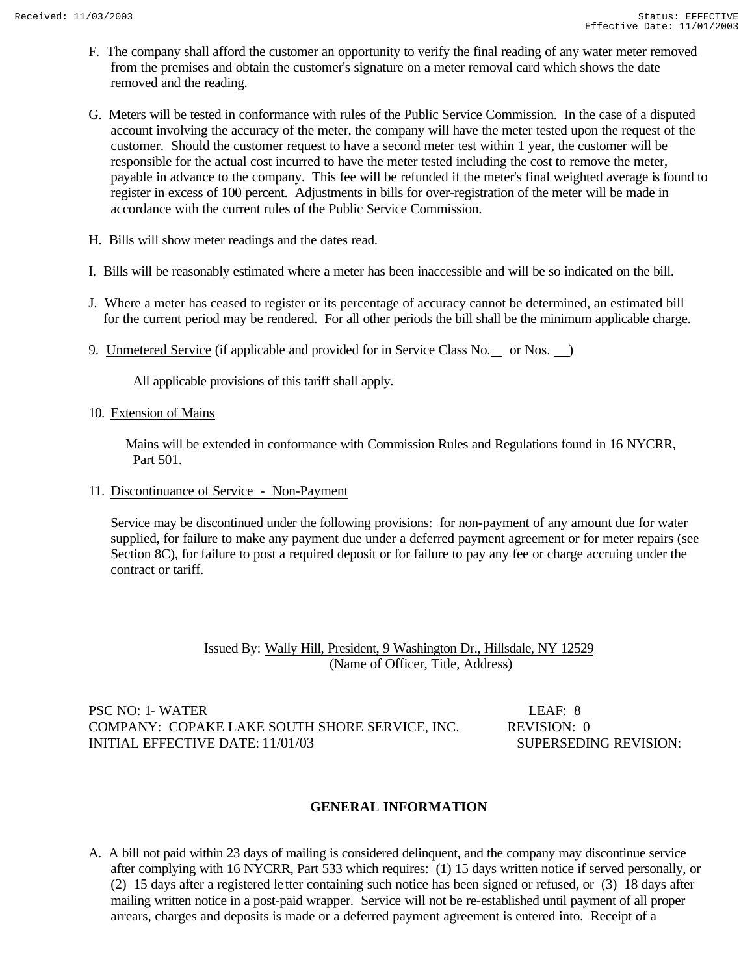- F. The company shall afford the customer an opportunity to verify the final reading of any water meter removed from the premises and obtain the customer's signature on a meter removal card which shows the date removed and the reading.
- G. Meters will be tested in conformance with rules of the Public Service Commission. In the case of a disputed account involving the accuracy of the meter, the company will have the meter tested upon the request of the customer. Should the customer request to have a second meter test within 1 year, the customer will be responsible for the actual cost incurred to have the meter tested including the cost to remove the meter, payable in advance to the company. This fee will be refunded if the meter's final weighted average is found to register in excess of 100 percent. Adjustments in bills for over-registration of the meter will be made in accordance with the current rules of the Public Service Commission.
- H. Bills will show meter readings and the dates read.
- I. Bills will be reasonably estimated where a meter has been inaccessible and will be so indicated on the bill.
- J. Where a meter has ceased to register or its percentage of accuracy cannot be determined, an estimated bill for the current period may be rendered. For all other periods the bill shall be the minimum applicable charge.
- 9. Unmetered Service (if applicable and provided for in Service Class No. \_ or Nos. \_)

All applicable provisions of this tariff shall apply.

10. Extension of Mains

 Mains will be extended in conformance with Commission Rules and Regulations found in 16 NYCRR, Part 501.

11. Discontinuance of Service - Non-Payment

 Service may be discontinued under the following provisions: for non-payment of any amount due for water supplied, for failure to make any payment due under a deferred payment agreement or for meter repairs (see Section 8C), for failure to post a required deposit or for failure to pay any fee or charge accruing under the contract or tariff.

> Issued By: Wally Hill, President, 9 Washington Dr., Hillsdale, NY 12529 (Name of Officer, Title, Address)

PSC NO: 1- WATER LEAF: 8 COMPANY: COPAKE LAKE SOUTH SHORE SERVICE, INC. REVISION: 0 INITIAL EFFECTIVE DATE:  $11/01/03$  SUPERSEDING REVISION:

#### **GENERAL INFORMATION**

A. A bill not paid within 23 days of mailing is considered delinquent, and the company may discontinue service after complying with 16 NYCRR, Part 533 which requires: (1) 15 days written notice if served personally, or (2) 15 days after a registered le tter containing such notice has been signed or refused, or (3) 18 days after mailing written notice in a post-paid wrapper. Service will not be re-established until payment of all proper arrears, charges and deposits is made or a deferred payment agreement is entered into. Receipt of a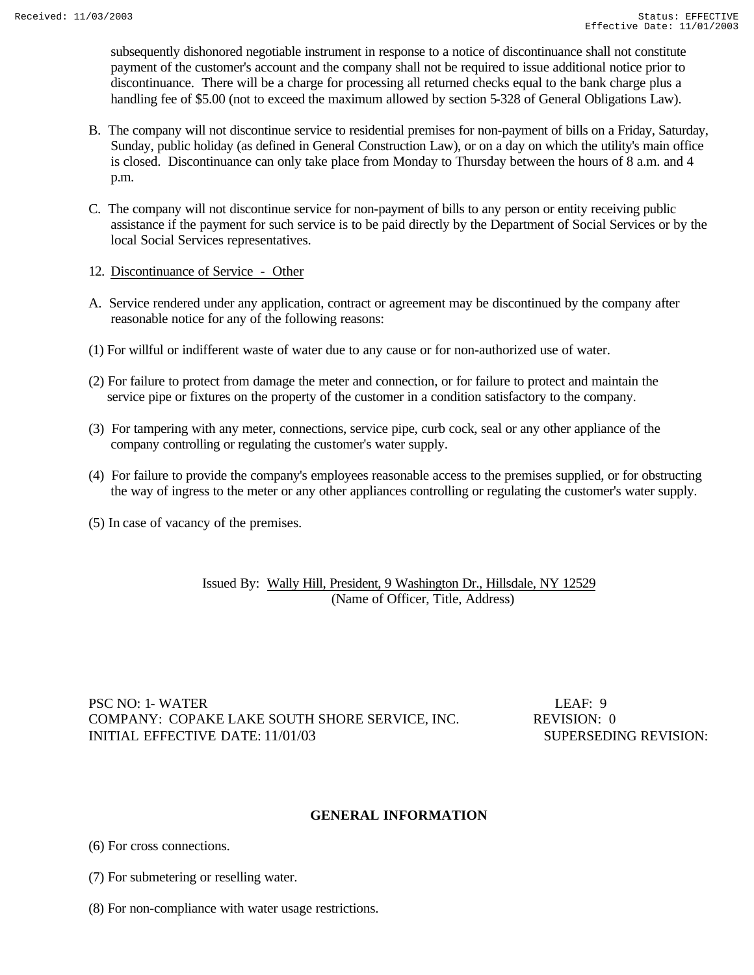subsequently dishonored negotiable instrument in response to a notice of discontinuance shall not constitute payment of the customer's account and the company shall not be required to issue additional notice prior to discontinuance. There will be a charge for processing all returned checks equal to the bank charge plus a handling fee of \$5.00 (not to exceed the maximum allowed by section 5-328 of General Obligations Law).

- B. The company will not discontinue service to residential premises for non-payment of bills on a Friday, Saturday, Sunday, public holiday (as defined in General Construction Law), or on a day on which the utility's main office is closed. Discontinuance can only take place from Monday to Thursday between the hours of 8 a.m. and 4 p.m.
- C. The company will not discontinue service for non-payment of bills to any person or entity receiving public assistance if the payment for such service is to be paid directly by the Department of Social Services or by the local Social Services representatives.
- 12. Discontinuance of Service Other
- A. Service rendered under any application, contract or agreement may be discontinued by the company after reasonable notice for any of the following reasons:
- (1) For willful or indifferent waste of water due to any cause or for non-authorized use of water.
- (2) For failure to protect from damage the meter and connection, or for failure to protect and maintain the service pipe or fixtures on the property of the customer in a condition satisfactory to the company.
- (3) For tampering with any meter, connections, service pipe, curb cock, seal or any other appliance of the company controlling or regulating the customer's water supply.
- (4) For failure to provide the company's employees reasonable access to the premises supplied, or for obstructing the way of ingress to the meter or any other appliances controlling or regulating the customer's water supply.
- (5) In case of vacancy of the premises.

Issued By: Wally Hill, President, 9 Washington Dr., Hillsdale, NY 12529 (Name of Officer, Title, Address)

PSC NO: 1- WATER LEAF: 9 COMPANY:COPAKE LAKE SOUTH SHORE SERVICE, INC. REVISION: 0 INITIAL EFFECTIVE DATE: 11/01/03 SUPERSEDING REVISION:

### **GENERAL INFORMATION**

(6) For cross connections.

- (7) For submetering or reselling water.
- (8) For non-compliance with water usage restrictions.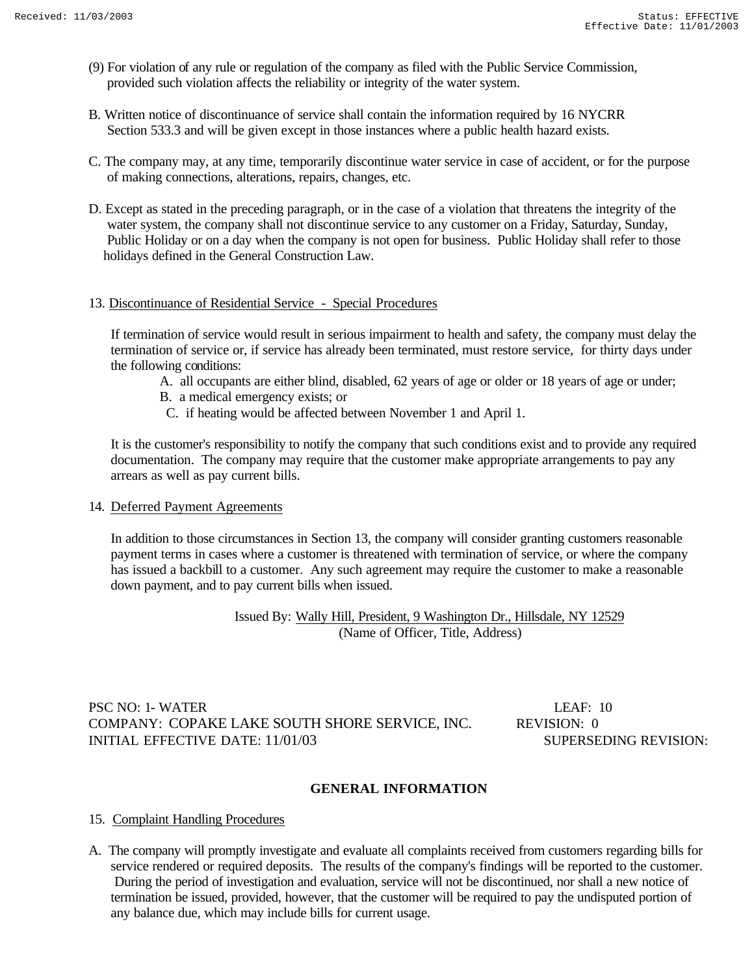- (9) For violation of any rule or regulation of the company as filed with the Public Service Commission, provided such violation affects the reliability or integrity of the water system.
- B. Written notice of discontinuance of service shall contain the information required by 16 NYCRR Section 533.3 and will be given except in those instances where a public health hazard exists.
- C. The company may, at any time, temporarily discontinue water service in case of accident, or for the purpose of making connections, alterations, repairs, changes, etc.
- D. Except as stated in the preceding paragraph, or in the case of a violation that threatens the integrity of the water system, the company shall not discontinue service to any customer on a Friday, Saturday, Sunday, Public Holiday or on a day when the company is not open for business. Public Holiday shall refer to those holidays defined in the General Construction Law.

### 13. Discontinuance of Residential Service - Special Procedures

 If termination of service would result in serious impairment to health and safety, the company must delay the termination of service or, if service has already been terminated, must restore service, for thirty days under the following conditions:

- A. all occupants are either blind, disabled, 62 years of age or older or 18 years of age or under;
- B. a medical emergency exists; or
- C. if heating would be affected between November 1 and April 1.

 It is the customer's responsibility to notify the company that such conditions exist and to provide any required documentation. The company may require that the customer make appropriate arrangements to pay any arrears as well as pay current bills.

### 14. Deferred Payment Agreements

 In addition to those circumstances in Section 13, the company will consider granting customers reasonable payment terms in cases where a customer is threatened with termination of service, or where the company has issued a backbill to a customer. Any such agreement may require the customer to make a reasonable down payment, and to pay current bills when issued.

> Issued By: Wally Hill, President, 9 Washington Dr., Hillsdale, NY 12529 (Name of Officer, Title, Address)

### PSC NO: 1- WATER LEAF: 10 COMPANY:COPAKE LAKE SOUTH SHORE SERVICE, INC. REVISION: 0 INITIAL EFFECTIVE DATE: 11/01/03 SUPERSEDING REVISION:

## **GENERAL INFORMATION**

### 15. Complaint Handling Procedures

A. The company will promptly investigate and evaluate all complaints received from customers regarding bills for service rendered or required deposits. The results of the company's findings will be reported to the customer. During the period of investigation and evaluation, service will not be discontinued, nor shall a new notice of termination be issued, provided, however, that the customer will be required to pay the undisputed portion of any balance due, which may include bills for current usage.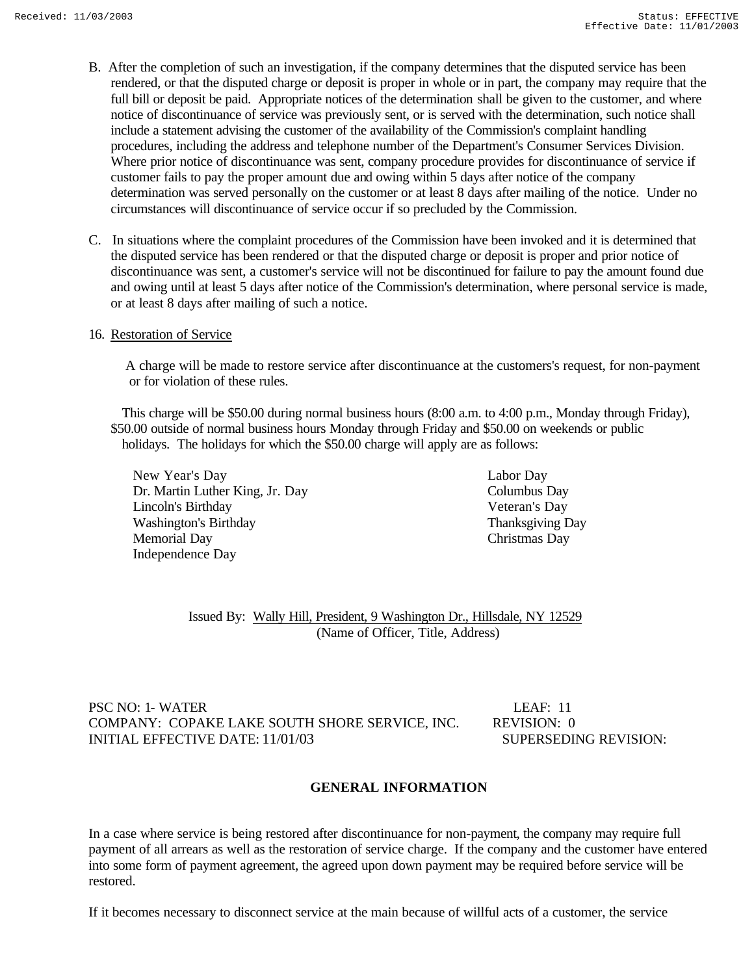- B. After the completion of such an investigation, if the company determines that the disputed service has been rendered, or that the disputed charge or deposit is proper in whole or in part, the company may require that the full bill or deposit be paid. Appropriate notices of the determination shall be given to the customer, and where notice of discontinuance of service was previously sent, or is served with the determination, such notice shall include a statement advising the customer of the availability of the Commission's complaint handling procedures, including the address and telephone number of the Department's Consumer Services Division. Where prior notice of discontinuance was sent, company procedure provides for discontinuance of service if customer fails to pay the proper amount due and owing within 5 days after notice of the company determination was served personally on the customer or at least 8 days after mailing of the notice. Under no circumstances will discontinuance of service occur if so precluded by the Commission.
- C. In situations where the complaint procedures of the Commission have been invoked and it is determined that the disputed service has been rendered or that the disputed charge or deposit is proper and prior notice of discontinuance was sent, a customer's service will not be discontinued for failure to pay the amount found due and owing until at least 5 days after notice of the Commission's determination, where personal service is made, or at least 8 days after mailing of such a notice.

### 16. Restoration of Service

 A charge will be made to restore service after discontinuance at the customers's request, for non-payment or for violation of these rules.

 This charge will be \$50.00 during normal business hours (8:00 a.m. to 4:00 p.m., Monday through Friday), \$50.00 outside of normal business hours Monday through Friday and \$50.00 on weekends or public holidays. The holidays for which the \$50.00 charge will apply are as follows:

New Year's Day Labor Day Dr. Martin Luther King, Jr. Day Columbus Day Lincoln's Birthday Veteran's Day Washington's Birthday Thanksgiving Day Memorial Day Christmas Day Independence Day

 Issued By: Wally Hill, President, 9 Washington Dr., Hillsdale, NY 12529 (Name of Officer, Title, Address)

### PSC NO: 1- WATER LEAF: 11 COMPANY: COPAKE LAKE SOUTH SHORE SERVICE, INC. REVISION: 0 INITIAL EFFECTIVE DATE: 11/01/03 SUPERSEDING REVISION:

### **GENERAL INFORMATION**

In a case where service is being restored after discontinuance for non-payment, the company may require full payment of all arrears as well as the restoration of service charge. If the company and the customer have entered into some form of payment agreement, the agreed upon down payment may be required before service will be restored.

If it becomes necessary to disconnect service at the main because of willful acts of a customer, the service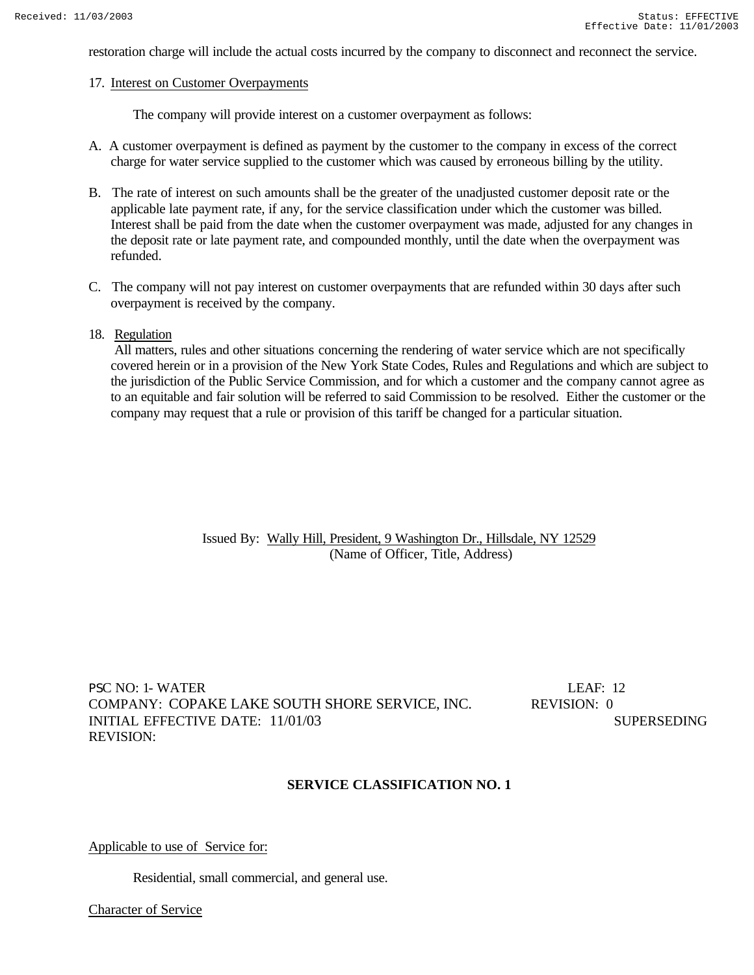restoration charge will include the actual costs incurred by the company to disconnect and reconnect the service.

#### 17. Interest on Customer Overpayments

The company will provide interest on a customer overpayment as follows:

- A. A customer overpayment is defined as payment by the customer to the company in excess of the correct charge for water service supplied to the customer which was caused by erroneous billing by the utility.
- B. The rate of interest on such amounts shall be the greater of the unadjusted customer deposit rate or the applicable late payment rate, if any, for the service classification under which the customer was billed. Interest shall be paid from the date when the customer overpayment was made, adjusted for any changes in the deposit rate or late payment rate, and compounded monthly, until the date when the overpayment was refunded.
- C. The company will not pay interest on customer overpayments that are refunded within 30 days after such overpayment is received by the company.

#### 18. Regulation

 All matters, rules and other situations concerning the rendering of water service which are not specifically covered herein or in a provision of the New York State Codes, Rules and Regulations and which are subject to the jurisdiction of the Public Service Commission, and for which a customer and the company cannot agree as to an equitable and fair solution will be referred to said Commission to be resolved. Either the customer or the company may request that a rule or provision of this tariff be changed for a particular situation.

> Issued By: Wally Hill, President, 9 Washington Dr., Hillsdale, NY 12529 (Name of Officer, Title, Address)

PSC NO: 1- WATER LEAF: 12 COMPANY: COPAKE LAKE SOUTH SHORE SERVICE, INC. REVISION: 0 INITIAL EFFECTIVE DATE:  $11/01/03$  SUPERSEDING REVISION:

#### **SERVICE CLASSIFICATION NO. 1**

### Applicable to use of Service for:

Residential, small commercial, and general use.

Character of Service